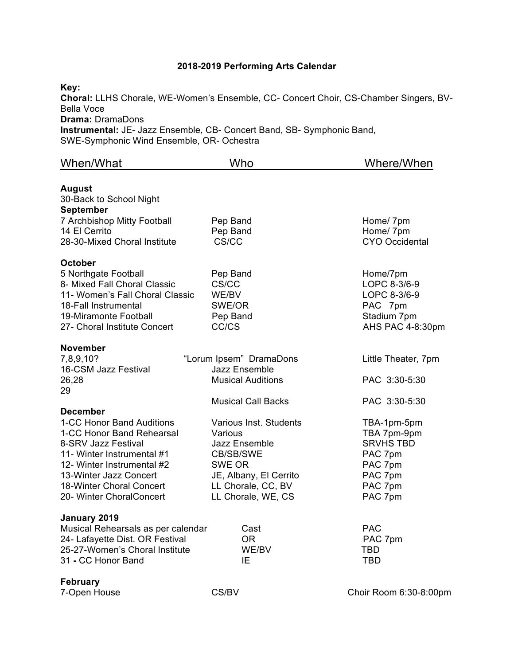## **2018-2019 Performing Arts Calendar**

**Key:**

**Choral:** LLHS Chorale, WE-Women's Ensemble, CC- Concert Choir, CS-Chamber Singers, BV-Bella Voce **Drama:** DramaDons

**Instrumental:** JE- Jazz Ensemble, CB- Concert Band, SB- Symphonic Band, SWE-Symphonic Wind Ensemble, OR- Ochestra

| When/What                                    | Who                       | Where/When                         |
|----------------------------------------------|---------------------------|------------------------------------|
|                                              |                           |                                    |
| <b>August</b>                                |                           |                                    |
| 30-Back to School Night                      |                           |                                    |
| <b>September</b>                             |                           |                                    |
| 7 Archbishop Mitty Football<br>14 El Cerrito | Pep Band                  | Home/ 7pm                          |
| 28-30-Mixed Choral Institute                 | Pep Band<br>CS/CC         | Home/ 7pm<br><b>CYO Occidental</b> |
|                                              |                           |                                    |
| <b>October</b>                               |                           |                                    |
| 5 Northgate Football                         | Pep Band                  | Home/7pm                           |
| 8- Mixed Fall Choral Classic                 | CS/CC                     | LOPC 8-3/6-9                       |
| 11- Women's Fall Choral Classic              | WE/BV                     | LOPC 8-3/6-9                       |
| 18-Fall Instrumental                         | SWE/OR                    | PAC 7pm                            |
| 19-Miramonte Football                        | Pep Band                  | Stadium 7pm                        |
| 27- Choral Institute Concert                 | CC/CS                     | AHS PAC 4-8:30pm                   |
| <b>November</b>                              |                           |                                    |
| 7,8,9,10?                                    | "Lorum Ipsem" DramaDons   | Little Theater, 7pm                |
| 16-CSM Jazz Festival                         | <b>Jazz Ensemble</b>      |                                    |
| 26,28                                        | <b>Musical Auditions</b>  | PAC 3:30-5:30                      |
| 29                                           |                           |                                    |
|                                              | <b>Musical Call Backs</b> | PAC 3:30-5:30                      |
| <b>December</b>                              |                           |                                    |
| 1-CC Honor Band Auditions                    | Various Inst. Students    | TBA-1pm-5pm                        |
| 1-CC Honor Band Rehearsal                    | Various                   | TBA 7pm-9pm                        |
| 8-SRV Jazz Festival                          | Jazz Ensemble             | <b>SRVHS TBD</b>                   |
| 11- Winter Instrumental #1                   | CB/SB/SWE                 | PAC 7pm                            |
| 12- Winter Instrumental #2                   | SWE OR                    | PAC 7pm                            |
| 13-Winter Jazz Concert                       | JE, Albany, El Cerrito    | PAC 7pm                            |
| <b>18-Winter Choral Concert</b>              | LL Chorale, CC, BV        | PAC 7pm                            |
| 20- Winter ChoralConcert                     | LL Chorale, WE, CS        | PAC 7pm                            |
| January 2019                                 |                           |                                    |
| Musical Rehearsals as per calendar           | Cast                      | <b>PAC</b>                         |
| 24- Lafayette Dist. OR Festival              | <b>OR</b>                 | PAC 7pm                            |
| 25-27-Women's Choral Institute               | WE/BV                     | <b>TBD</b>                         |
| 31 - CC Honor Band                           | ΙE                        | TBD                                |
| <b>February</b>                              |                           |                                    |
| 7-Open House                                 | CS/BV                     | Choir Room 6:30-8:00pm             |